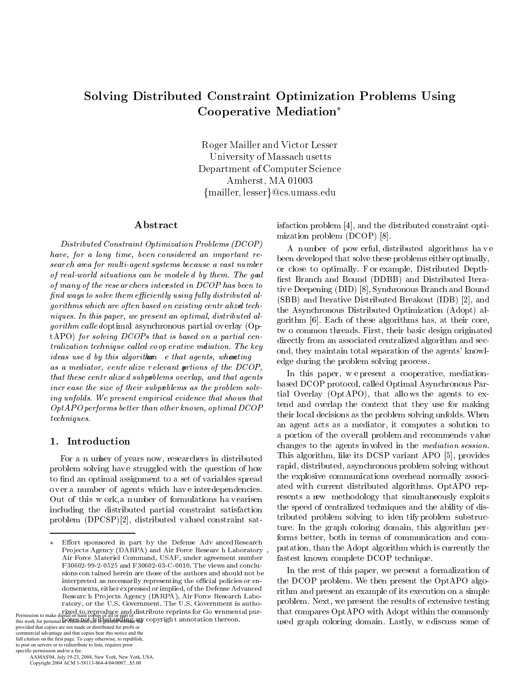# -  - Cooperative iviediation

TOOK THRILLOI WILL TIGGET DODGET University of Massach usetts Department of Computer Science Amherst, MA 01003 !!

- - 
 -   -    $\sim$  . The wind for the weight of the common wave thanks and  $\sim$  .  $\sigma$ , row world *outward no* can be mowered by month **rive** quere  $\Gamma_{n-1}$  **D**.  $\sigma$  , mang of the resolutions mechanical in  $\bm{\omega}$  of thus toon to  $\mu$ , and the complete through the control of the control was controlled was also as a set of the control of the control of the control of the control of the control of the control of the control of the control of the con  $\mathcal{L}$  , and the contract of  $\mathcal{L}$  and  $\mathcal{L}$  are contracted to the contraction of  $\mathcal{L}$  . The contraction of  $\mathcal{L}$  $\alpha$  , and we can also have the control of the control of the control of  $\alpha$  and  $\alpha$  $\frac{1}{2}$  . The contraction of  $\frac{1}{2}$  is the contract of the contraction of  $\frac{1}{2}$  . The contract of  $\frac{1}{2}$ - - 
-  - -    $\alpha$ , we was not a contracted by comparison to the comparison of  $\alpha$  . The magnetic matrix  $\alpha$ racae accuracy check and change is cheat agoness, antarching the set we write weavenly content without relevance write oriented by the book  $\frac{1}{2}$ enae encou conen anno a caopoecento o con mpi anno enae agonec ence case ence show of encer swepporents we ence providing some ency where end of the problem only in low. Outworld the check only we there are the control of the control of t  $\sigma$  possessed to the contract of the contract of the contract  $\sigma$  of  $\sigma$  . "-

and the contract of the contract of the contract of the contract of the contract of the contract of the contract of the contract of the contract of the contract of the contract of the contract of the contract of the contra  -
 - - 
- - - - - -    
 - - - -  
 
-   $\blacksquare$  -  $\blacksquare$  -  $\blacksquare$  -  $\blacksquare$  -  $\blacksquare$  -  $\blacksquare$  -  $\blacksquare$  -  $\blacksquare$  -  $\blacksquare$  -  $\blacksquare$  -  $\blacksquare$  -  $\blacksquare$  -  $\blacksquare$  -  $\blacksquare$  -  $\blacksquare$  -  $\blacksquare$  -  $\blacksquare$  -  $\blacksquare$  -  $\blacksquare$  -  $\blacksquare$  -  $\blacksquare$  -  $\blacksquare$  -  $\blacksquare$  -  $\blacksquare$  -  $\blacksquare$  $\blacksquare$  . The same state of the state of the state of the state of the state of the state of the state of the state of the state of the state of the state of the state of the state of the state of the state of the state of

provided that copies are not made or distributed for profit or commercial advantage and that copies bear this notice and the full citation on the first page. To copy otherwise, to republish, to post on servers or to redistribute to lists, requires prior specific permission and/or a fee.

 AAMAS'04, July 19-23, 2004, New York, New York, USA. Copyright 2004 ACM 1-58113-864-4/04/0007...\$5.00

isfaction problem [4], and the distributed constraint opti-(-  !" \$)&

 $\mathcal{L}$  ive Deepening (DID) [8], Synchronous Branch and Bound 
  -
- - -- -  - results the state of the state of the state of the state of the state of the state of the state of the state of  $\blacksquare$  . The state of the state of the state of the state of the state of the state of the state of the state of the state of the state of the state of the state of the state of the state of the state of the state of the  $\frac{1}{2}$  ,  $\frac{1}{2}$  ,  $\frac{1}{2}$  ,  $\frac{1}{2}$  ,  $\frac{1}{2}$  ,  $\frac{1}{2}$  ,  $\frac{1}{2}$  ,  $\frac{1}{2}$  ,  $\frac{1}{2}$  ,  $\frac{1}{2}$  ,  $\frac{1}{2}$  ,  $\frac{1}{2}$  ,  $\frac{1}{2}$  ,  $\frac{1}{2}$  ,  $\frac{1}{2}$  ,  $\frac{1}{2}$  ,  $\frac{1}{2}$  ,  $\frac{1}{2}$  ,  $\frac{1$ -  
 !-
- -(- - - \$-& . - - - -  - - - -  -  -  - -(  and the contract of the contract of the contract of the contract of the contract of the contract of the contract of the contract of the contract of the contract of the contract of the contract of the contract of the contra 
 -  

based DCOP protocol, called Optimal Asynchronous Par- $\frac{1}{2}$  tial Overlay (OptAPO), that allows the agents to ex-, and the contract of the contract of the contract of the contract of the contract of the contract of the contract of the contract of the contract of the contract of the contract of the contract of the contract of the con -  - -\*- -- -  - -  
 0  $\blacksquare$  . The set of the set of the set of the set of the set of the set of the set of the set of the set of the set of the set of the set of the set of the set of the set of the set of the set of the set of the set of the and the contract of the contract of the contract of the contract of the contract of the contract of the contract of the contract of the contract of the contract of the contract of the contract of the contract of the contra  $\frac{1}{2}$  . The state experience in the state interviewed to access the state of the state of the state of the state of the state of the state of the state of the state of the state of the state of the state of the state  $\mathbf{1}$  . The set of the set of the set of the set of the set of the set of the set of the set of the set of the set of the set of the set of the set of the set of the set of the set of the set of the set of the set of t  $\mathbf{r}$  . The contract of the contract of the contract of the contract of the contract of the contract of the contract of the contract of the contract of the contract of the contract of the contract of the contract of th - \* -   - -  - -
- - -   - - -- - 
 \*-  $\blacksquare$  . The contract of the contract of the contract of the contract of the contract of the contract of the contract of the contract of the contract of the contract of the contract of the contract of the contract of the  $\blacksquare$  . The set of  $\blacksquare$  . The set of  $\blacksquare$  . If the set of  $\blacksquare$  is the set of  $\blacksquare$  $\mathbf{A}$  , and a set of  $\mathbf{A}$  , and a set of  $\mathbf{A}$  , and a set of  $\mathbf{A}$  , and a set of  $\mathbf{A}$ and the state of the state of the state of the state of the state of the state of the state of the state of th  $\blacksquare$  . The set of the set of the set of the set of the set of the set of the set of the set of the set of the set of the set of the set of the set of the set of the set of the set of the set of the set of the set of the -- - !" - 

 $\sim$  0  $\sim$  0  $\sim$  0  $\sim$  0  $\sim$  0  $\sim$  0  $\sim$  0  $\sim$  0  $\sim$  0  $\sim$  0  $\sim$  0  $\sim$  0  $\sim$  0  $\sim$  0  $\sim$  0  $\sim$  0  $\sim$  0  $\sim$  0  $\sim$  0  $\sim$  0  $\sim$  0  $\sim$  0  $\sim$  0  $\sim$  0  $\sim$  0  $\sim$  0  $\sim$  0  $\sim$  0  $\sim$  0  $\sim$  0  $\sim$  0  $\sim$  $\cdots$  and  $\cdots$  of proprements are enter present the Operin O arguments. problem. Next, we present the results of extensive testing , - - -   - (- -  - \* - \* results the contract of the contract of the contract of the contract of the contract of the contract of the con   4-

<sup>.</sup> Inter spensed in part of the Berline from ancelescent in  $\mathbf{I}$  represents the state  $\mathbf{I}$  and  $\mathbf{I}$  in reference it contains in the set of  $\mathbf{I}$  $\mu$  . The results of the community of  $\mu$  is a computational function of  $\mu$ F30602-99-2-0525 and F30602-03-C-0010. The views and concluno con cumou norom uro cnopo or cno uucnoro unu prouu noc oc  $\alpha$  -  $\alpha$  -  $\alpha$  -  $\alpha$  -  $\alpha$  -  $\alpha$  -  $\alpha$  -  $\alpha$  -  $\alpha$  -  $\alpha$  -  $\alpha$  -  $\alpha$  -  $\alpha$  -  $\alpha$  -  $\alpha$  -  $\alpha$  -  $\alpha$  -  $\alpha$  -  $\alpha$  -  $\alpha$  -  $\alpha$  -  $\alpha$  -  $\alpha$  -  $\alpha$  -  $\alpha$  -  $\alpha$  -  $\alpha$  -  $\alpha$  -  $\alpha$  -  $\alpha$  -  $\alpha$  -  $\alpha$  $\frac{1}{2}$  . There is no constantly to probe in the  $\frac{1}{2}$  , the children potition of  $\frac{1}{2}$  . The state of  $\frac{1}{2}$  $\alpha$  -  $\alpha$  -  $\alpha$  -  $\alpha$  -  $\alpha$  -  $\alpha$  -  $\alpha$  -  $\alpha$  -  $\alpha$  -  $\alpha$  -  $\alpha$  -  $\alpha$  -  $\alpha$  -  $\alpha$  -  $\alpha$  -  $\alpha$  -  $\alpha$  -  $\alpha$  -  $\alpha$  -  $\alpha$  -  $\alpha$  -  $\alpha$  -  $\alpha$  -  $\alpha$  -  $\alpha$  -  $\alpha$  -  $\alpha$  -  $\alpha$  -  $\alpha$  -  $\alpha$  -  $\alpha$  -  $\alpha$  $\mathbf{1}$ ,  $\mathbf{0}$ ,  $\mathbf{0}$ ,  $\mathbf{1}$ ,  $\mathbf{1}$ ,  $\mathbf{0}$ ,  $\mathbf{0}$ ,  $\mathbf{1}$ ,  $\mathbf{1}$ ,  $\mathbf{1}$ ,  $\mathbf{1}$ ,  $\mathbf{1}$ ,  $\mathbf{1}$ ,  $\mathbf{1}$ ,  $\mathbf{1}$ ,  $\mathbf{1}$ ,  $\mathbf{0}$ ,  $\mathbf{0}$ ,  $\mathbf{0}$ ,  $\mathbf{1}$ ,  $\mathbf{1}$ ,  $\mathbf{0}$ , - - !,", 0- , - !,", 0- $\ddot{\phantom{a}}$  $1.40.1, 0.1, 0.04.0, 0.00$  and  $2.10.1, 0.00$  relations to  $1.0, 0.01$  . The contraction of  $1.01$ Permission to make digital or hard copies of all or part of<br>this work for personal & QBCS JOM use is granted with give copy right annotation thereon.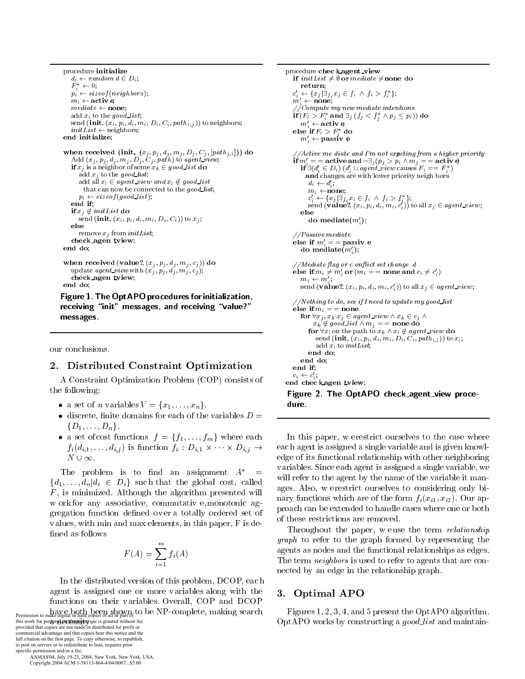- # - $F_i^* \leftarrow 0;$    2  $\cdots$   $\cdots$   $\cdots$   $\cdots$  - 2 - 2  $\sum_{i=1}^{n} \sum_{j=1}^{n} \binom{n}{j} \binom{n}{j} \binom{n}{j} \binom{n}{j} \binom{n}{j} \binom{n}{j} \binom{n}{j} \binom{n}{j} \binom{n}{j} \binom{n}{j} \binom{n}{j} \binom{n}{j} \binom{n}{j} \binom{n}{j} \binom{n}{j} \binom{n}{j} \binom{n}{j} \binom{n}{j} \binom{n}{j} \binom{n}{j} \binom{n}{j} \binom{n}{j} \binom{n}{j} \binom{n}{j} \binom{n}{j} \binom{n}{j} \binom{n}{j} \binom{n}{j} \binom{n$  -2 -2  $\mathbf{u}_1, \mathbf{u}_2, \mathbf{u}_3, \mathbf{u}_4, \mathbf{u}_5, \mathbf{u}_6, \mathbf{u}_7, \mathbf{u}_8, \mathbf{u}_9, \mathbf{u}_9, \mathbf{u}_9, \mathbf{u}_1, \mathbf{u}_2, \mathbf{u}_3, \mathbf{u}_1, \mathbf{u}_2, \mathbf{u}_3, \mathbf{u}_2, \mathbf{u}_3, \mathbf{u}_3, \mathbf{u}_3, \mathbf{u}_3, \mathbf{u}_5, \mathbf{u}_6, \mathbf{u}_7, \mathbf{u}_7, \mathbf{u}_8, \mathbf{$  $\frac{1}{2}$  .  $\frac{1}{2}$  .  $\frac{1}{2}$  ,  $\frac{1}{2}$  ,  $\frac{1}{2}$  ,  $\frac{1}{2}$  ,  $\frac{1}{2}$  ,  $\frac{1}{2}$  ,  $\frac{1}{2}$  ,  $\frac{1}{2}$  ,  $\frac{1}{2}$  ,  $\frac{1}{2}$  ,  $\frac{1}{2}$  ,  $\frac{1}{2}$  ,  $\frac{1}{2}$  ,  $\frac{1}{2}$  ,  $\frac{1}{2}$  ,  $\frac{1}{2}$  ,  $\frac{1$  $\mathbf{r}$  and  $\mathbf{r}$  -  $\mathbf{r}$  and  $\mathbf{r}$  is a set to be the set of the set of  $\mathbf{r}$  $\alpha \alpha \alpha \nu$  , to the good too.  $\alpha$  and  $\omega_i$   $\in$  agence when  $\omega_i$   $\chi$  good when  $\frac{1}{2}$  . There is no contribution to the good the  $\frac{1}{2}$   2  $2222 - 221$ -- - , <u>, ,</u> .......... - **--** - $\sum_{i=1}^{n} \sum_{i=1}^{n} \binom{n}{i} \binom{n}{i} \binom{n}{i} \binom{n}{i} \binom{n}{i} \binom{n}{i} \binom{n}{i} \binom{n}{i} \binom{n}{i} \binom{n}{i} \binom{n}{i} \binom{n}{i} \binom{n}{i} \binom{n}{i} \binom{n}{i} \binom{n}{i} \binom{n}{i} \binom{n}{i} \binom{n}{i} \binom{n}{i} \binom{n}{i} \binom{n}{i} \binom{n}{i} \binom{n}{i} \binom{n}{i} \binom{n}{i} \binom{n}{i} \binom{n}{i} \binom{n$ else - - - 2  $\sim$  2.2  $\sim$  2.2  $\sim$  2.2  $\sim$  2.2  $\sim$  2.2  $\sim$  2.2  $\sim$  2.2  $\sim$  2.2  $\sim$  2.2  $\sim$  2.2  $\sim$  2.2  $\sim$  2.2  $\sim$  2.2  $\sim$  2.2  $\sim$  2.2  $\sim$  2.2  $\sim$  2.2  $\sim$  2.2  $\sim$  2.2  $\sim$  2.2  $\sim$  2.2  $\sim$  2.2  $\sim$  2.2  $\sim$  2.2  $\sim$   $2222$  $\ldots$   $\ldots$   $\ldots$   $\ldots$   $\ldots$   $\ldots$   $\ldots$   $\ldots$   $\ldots$   $\ldots$   $\ldots$   $\ldots$   $\ldots$ # - - . - - - - - 2  $\frac{2}{2}$ 

-   -  - - -

our conclusions.

 $\cdots$   $\cdots$  $22.22$ 

# - -

 " - - -(-  " -- 5

- 6 ---
- - -   6 ---
- $\mathcal{A} = \left[ \begin{array}{ccc} \mathcal{A} & \mathcal{A} & \mathcal{A} & \mathcal{A} & \mathcal{A} & \mathcal{A} & \mathcal{A} & \mathcal{A} & \mathcal{A} & \mathcal{A} & \mathcal{A} & \mathcal{A} & \mathcal{A} & \mathcal{A} & \mathcal{A} & \mathcal{A} & \mathcal{A} & \mathcal{A} & \mathcal{A} & \mathcal{A} & \mathcal{A} & \mathcal{A} & \mathcal{A} & \mathcal{A} & \mathcal{A} & \mathcal{A} & \mathcal{A} & \mathcal{A} & \mathcal{A} &$  $\int l(x,1) \cdots (x,1) dx$  .  $\int l(x,1) dx$  $N \cup \infty$ .

 $\mathbf{1}$  . The set of the set of the set of the set of the set of the set of the set of the set of the set of the set of the set of the set of the set of the set of the set of the set of the set of the set of the set of t --- - - -- - - ( - - -  -   - -- - - -  --  - - \* -  fined as follows

$$
F(A) = \sum_{i=1}^{m} f_i(A)
$$

, - -
-  -  !" -    - -. The contract of the contract of the contract of the contract of the contract of the contract of the contract of the contract of the contract of the contract of the contract of the contract of the contract of the contrac Permission to make digital or hard copies of all or part of  $\sim$ 

this work for personal prodessymmetries is granted without fee<br>provided that copies are not made or distributed for profit or commercial advantage and that copies bear this notice and the full citation on the first page. To copy otherwise, to republish, to post on servers or to redistribute to lists, requires prior specific permission and/or a fee.

 AAMAS'04, July 19-23, 2004, New York, New York, USA. Copyright 2004 ACM 1-58113-864-4/04/0007...\$5.00

```
\mu . \mu . \mu . \mu . \mu . \mu . \mu . \mu . \mu . \mu . \mu . \mu . \mu . \mu 

	 4  	
 
-
 4	 

                            return:
                                    <u>2002 - Andrea San Andrea San Andrea San Andrea San Andrea San Andrea San Andrea San Andrea San Andrea San Andr</u>
                         c_i \leftarrow \{x_j | \exists f_i x_j \in J_i \land J_i > J_i \};<br>
m'_i \leftarrow \textbf{none};

-
  -
 -
	-
 -
                         \textbf{if}(F_i > F_i^* \textbf{ and } \exists_j \ (f_j < f_j^* \land p_j \leq p_i)) \textbf{ do}m_i \leftarrow active
                         eise if F_i > F_i ao
                             m'_i \leftarrow passiv e
                         if m'_i = \text{active} and \neg \exists_j (p_j > p_i \land m_j = \text{active}\mathbf{H} \exists (a_i \in D_i) \ (a_i \cup agent\_view \text{ causes } r_i == r_i)\alpha . The contract of \alpha is the contract problem in the property in the contract of \alphaa_i \leftarrow a_i;
                                  c_i' \leftarrow \{x_j | \exists_{f_i} x_i \in f_i \; \wedge \; f_i > f_i^* \};send (value:, (x_i, p_i, a_i, m_i, c_i)) to all x_j \in agent\_view;ao mearate(m_i^{\phantom{\dagger}});
                         \frac{1}{2} about \frac{1}{2} inversion \frac{1}{2}else if m' = = passive
                             ao mealate(m_i);

-
	-
     -
 -

                         eise if m_i \neq m_j or (m_i == none and c_i \neq c_jm_i \leftarrow m'_i2
                             send (varue), (x_i, p_i, a_i, m_i, c_j)) to an x_j \in agent\_view;

  	 -
-
   -
-
	  	-

                        else if m_i == none
                             \mathbf{r} \in \mathbb{R} , \mathbb{Z} , \mathbb{Z} , \mathbb{Z} , \mathbb{Z} , \mathbb{Z} , \mathbb{Z} , \mathbb{Z} , \mathbb{Z} , \mathbb{Z} , \mathbb{Z} , \mathbb{Z} , \mathbb{Z} , \mathbb{Z} , \mathbb{Z} , \mathbb{Z} , \mathbb{Z} , \mathbb{Z} , \mathbb{Z} , \mathbb\alpha_k \alpha good storms \alpha = \alpha mone as
                                  \mathbf{r} . The comparation of \mathbf{r} is the sequence of \mathbf{r} and \mathbf{r} is the sequence of \mathbf{r}\sum_{i=1}^{n} \binom{n}{i} \binom{n}{i} \binom{n}{i} \binom{n}{i} \binom{n}{i} \binom{n}{i} \binom{n}{i} \binom{n}{i} \binom{n}{i} \binom{n}{i} \binom{n}{i} \binom{n}{i} \binom{n}{i} \binom{n}{i} \binom{n}{i} \binom{n}{i} \binom{n}{i} \binom{n}{i} \binom{n}{i} \binom{n}{i} \binom{n}{i} \binom{n}{i} \binom{n}{i} \binom{n}{i} \binom{n}{i} \binom{n}{i} \binom{n}{i} \binom{n}{i} \binom{n}{i} \binom{n}{i}2 and 2 and 2 and 2 and 2 and 2 and 2 and 2 and 2 and 2 and 2 and 2 and 2 and 2 and 2 and 2 and 2 and 2 and 2 and 2 and 2 and 2 and 2 and 2 and 2 and 2 and 2 and 2 a
                                  2222 - 222end do:
                                         22.22\mathbf{u} \mathbf{u}\text{S of} \begin{array}{c} c_i \leftarrow c_i; \\ \text{end the case is given by} \end{array}\frac{1}{2} and \frac{1}{2} and \frac{1}{2} and \frac{1}{2} and \frac{1}{2}-



 	 -
  !
                     dure.
```
 $\blacksquare$  . The contract of the contract of the contract of the contract of the contract of the contract of the contract of the contract of the contract of the contract of the contract of the contract of the contract of the  $\Omega$  -  $\Omega$  -  $\Omega$  -  $\Omega$  -  $\Omega$  -  $\Omega$  -  $\Omega$  -  $\Omega$  -  $\Omega$  -  $\Omega$  -  $\Omega$  -  $\Omega$  -  $\Omega$  -  $\Omega$  -  $\Omega$  -  $\Omega$  -  $\Omega$  -  $\Omega$  -  $\Omega$  -  $\Omega$  -  $\Omega$  -  $\Omega$  -  $\Omega$  -  $\Omega$  -  $\Omega$  -  $\Omega$  -  $\Omega$  -  $\Omega$  -  $\Omega$  -  $\Omega$  -  $\Omega$  -  $\Omega$  $A =$  will refer to the agent by the name of the variable it man-<sub>11</sub> ages. Also, w erestrict ourselves to considering only bi- - 
 - - - -   $\frac{1}{2}$  . The contract of the contract of the contract of the contract of the contract of the contract of the contract of the contract of the contract of the contract of the contract of the contract of the contract of t  $\lim_{t \to \infty} \lim_{t \to \infty} \lim_{t \to \infty} \lim_{t \to \infty} \lim_{t \to \infty} \lim_{t \to \infty} \lim_{t \to \infty} \lim_{t \to \infty} \lim_{t \to \infty} \lim_{t \to \infty} \lim_{t \to \infty} \lim_{t \to \infty} \lim_{t \to \infty} \lim_{t \to \infty} \lim_{t \to \infty} \lim_{t \to \infty} \lim_{t \to \infty} \lim_{t \to \infty} \lim_{t \to \infty} \lim_{t \to \infty} \lim_{t \to \infty} \lim_{t \to \infty}$  \*- -   -

> $\mathbf{1}$  . The state of the state of the state of the state of the state of the state of the state of the state of the state of the state of the state of the state of the state of the state of the state of the state of th  -  - -    - -  $\mathbf{r}$ 1 - - 
>  -  - - --  - - -

# $\sim$  3. Optimal Al O

h Figures 1, 2, 3, 4, and 5 present the  $\mathrm{OptAPO}$  algorithm. -  - -  -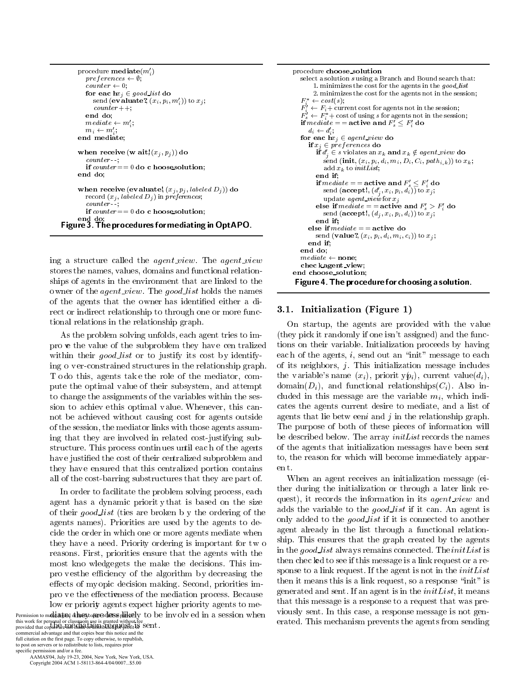```
procedure mediate(m_i)preferences \leftarrow \emptyset;
        counter \leftarrow 0;for eac\mathbf{h} x_j \in \mathit{good\_list}do
           send (evaluate?, (x_i, p_i, m'_i)) to x_i;
           counter++;end do;
        mediate \leftarrow m'.
        m_i \leftarrow m'_i;end mediate;
     when receive (w ait, (x_i, p_i)) do
        counter-if counter == 0 do c hoosesolution;
     end do:
      when receive (evaluate!, (x_i, p_i, labeled D_i)) do
        record (x_j, labeled D_j) in preferences,
        counter:
        if counter == 0 do c hooses olution;
      end do:
Figure 3. The procedures for mediating in OptAPO.
```
ing a structure called the *agent\_view*. The *agent\_view* stores the names, values, domains and functional relationships of agents in the environment that are linked to the owner of the *agent\_view*. The *good\_list* holds the names of the agents that the owner has identified either a direct or indirect relationship to through one or more functional relations in the relationship graph.

As the problem solving unfolds, each agent tries to impro we the value of the subproblem they have cen tralized within their *good\_list* or to justify its cost by identifying o ver-constrained structures in the relationship graph. Todo this, agents take the role of the mediator, compute the optimal value of their subsystem, and attempt to change the assignments of the variables within the session to achieve this optimal value. Whenever, this cannot be achieved without causing cost for agents outside of the session, the mediator links with those agents assuming that they are involved in related cost-justifying substructure. This process continues until each of the agents have justified the cost of their centralized subproblem and they have ensured that this centralized portion contains all of the cost-barring substructures that they are part of.

In order to facilitate the problem solving process, each agent has a dynamic priority that is based on the size of their *good list* (ties are broken b y the ordering of the agents names). Priorities are used by the agents to decide the order in which one or more agents mediate when they have a need. Priority ordering is important for two reasons. First, priorities ensure that the agents with the most kno wledgegets the make the decisions. This impro vesthe efficiency of the algorithm by decreasing the effects of myopic decision making. Second, priorities impro ve the effectiveness of the mediation process. Because low er priority agents expect higher priority agents to me-Permission to makki at tine of the eye optime of desis philosely to be involved in a session when

this work for personal or classroom use is granted without fee<br>provided that copies are Holenale or Grand Holenale of the Spirit S commercial advantage and that copies bear this notice and the full citation on the first page. To copy otherwise, to republish, to post on servers or to redistribute to lists, requires prior specific permission and/or a fee.

AAMAS'04, July 19-23, 2004, New York, New York, USA. Copyright 2004 ACM 1-58113-864-4/04/0007...\$5.00

```
procedure choose_solution
   select a solution susing a Branch and Bound search that:
        1. minimizes the cost for the agents in the good_list
        2. minimizes the cost for the agents not in the session;
   F^* \leftarrow \cos t(s);F_i^i \leftarrow F_i^+ current cost for agents not in the session;<br>
F_s^i \leftarrow F_i^* cost of using s for agents not in the session;
   if mediate = = active and F'_s \leq F'_i do
      d_i \leftarrow d'_i;
   for eachx_i \in agent\_view do
      if x_j \in \textit{preferences} do
         if d'_{i} \in s violates an x_{k} and x_{k} \notin agent\_view do
            send (init, (x_i, p_i, d_i, m_i, D_i, C_i, path_{i,k})) to x_k;
            add x_k to initList;
         end if;
         if mediate == active and F'_s < F'_i do
            send (accept!, (d'_i, x_i, p_i, d_i)) to x_i;
            update agent_view for x_ielse if \textit{mediate} = = active and F'_s > F'_i do
            send (accept!, (d_i, x_i, p_i, d_i)) to x_i;
         end if;
      else if mediate = = active do
        send (value?, (x_i, p_i, d_i, m_i, c_i)) to x_j;
      end if:
   end do;
   mediate \leftarrow none;chec kagent view;
end choose_solution;
```
### Figure 4. The procedure for choosing a solution.

# 3.1. Initialization (Figure 1)

On startup, the agents are provided with the value (they pick it randomly if one isn't assigned) and the functions on their variable. Initialization proceeds by having each of the agents,  $i$ , send out an "init" message to each of its neighbors,  $j$ . This initialization message includes the variable's name  $(x_i)$ , priorit  $y\mathbf{p}_i$ , current value $(d_i)$ ,  $\text{domain}(D_i)$ , and functional relationships $(C_i)$ . Also included in this message are the variable  $m_i$ , which indicates the agents current desire to mediate, and a list of agents that lie betw een and j in the relationship graph. The purpose of both of these pieces of information will be described below. The array *initList* records the names of the agents that initialization messages have been sent to, the reason for which will become immediately apparent.

When an agent receives an initialization message (either during the initialization or through a later link request), it records the information in its *agent\_view* and adds the variable to the *good list* if it can. An agent is only added to the good list if it is connected to another agent already in the list through a functional relationship. This ensures that the graph created by the agents in the good list always remains connected. The initList is then checkled to see if this message is a link request or a response to a link request. If the agent is not in the  $initList$ then it means this is a link request, so a response "init" is generated and sent. If an agent is in the  $initList$ , it means that this message is a response to a request that was previously sent. In this case, a response message is not generated. This mechanism prevents the agents from sending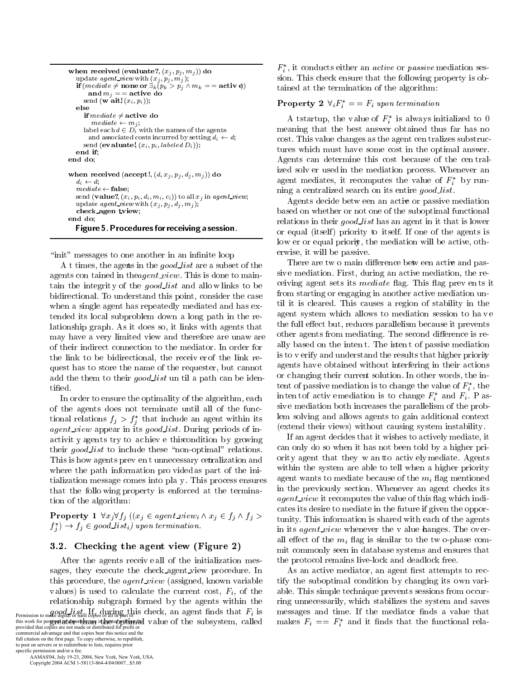```
when received (evaluate?, (x_j, p_j, m_j)) do
  update agent_view with (x_j, p'_j, m'_j);<br>
if (mediate \neq none or \exists_k (p_k > p_j \land m_k == \text{activ})and m_j == active do
      send (w ait, (x_i, p_i));
   else
      \textbf{if} \: mediate \neq \textbf{active} \: \: \textbf{do}mediate \leftarrow m_j;label each d \in D_i with the names of the agents
       and associated costs incurred by setting d_i \leftarrow d;
     send (evaluate, (x_i, p_i, labeled D_i));
  end if:
end do;
when received (accept!, (d, x_j, p_j, d_j, m_j)) do
   d_i \leftarrow d:
   mediate \leftarrow false;send (value?, (x_i, p_i, d_i, m_i, c_i)) to all x_i in agent view;
   update agent\_view with (x_j, p_j, d_j, m_j);
  check agen tview;
end do:
  Figure 5. Procedures for receiving a session.
```
"init" messages to one another in an infinite loop

A t times, the agents in the good list are a subset of the agents con tained in the *agent\_view*. This is done to maintain the integrity of the good list and allow links to be bidirectional. To understand this point, consider the case when a single agent has repeatedly mediated and has extended its local subproblem down a long path in the relationship graph. As it does so, it links with agents that may have a very limited view and therefore are unaw are of their indirect connection to the mediator. In order for the link to be bidirectional, the receiver of the link request has to store the name of the requester, but cannot add the them to their good list un til a path can be identified.

In order to ensure the optimality of the algorithm, each of the agents does not terminate until all of the functional relations  $f_j > f_j^*$  that include an agent within its *agent\_view* appear in its good\_list. During periods of inactivity agents try to achieve this condition by growing their *good list* to include these "non-optimal" relations. This is how agents prev ent unnecessary cerralization and where the path information pro vided as part of the initialization message comes into play. This process ensures that the follo wing property is enforced at the termination of the algorithm:

**Property 1**  $\forall x_j \forall f_j$  ( $(x_j \in agent\_view_i \land x_j \in f_j \land f_j >$  $f_i^*$   $\rightarrow$   $f_j \in good\_list_i)$  upon termination.

### 3.2. Checking the agent view (Figure 2)

After the agents receiveall of the initialization messages, they execute the check agent view procedure. In this procedure, the *agent\_view* (assigned, known variable values) is used to calculate the current cost,  $F_i$ , of the relationship subgraph formed by the agents within the Permission to make digital or hard copies of all or part of is check, an agent finds that  $F_i$  is this work for personal determination of the subsystem, called provided that copies are not made or distributed for profit or commercial advantage and that copies bear this notice and the

full citation on the first page. To copy otherwise, to republish, to post on servers or to redistribute to lists, requires prior specific permission and/or a fee. AAMAS'04, July 19-23, 2004, New York, New York, USA.

Copyright 2004 ACM 1-58113-864-4/04/0007...\$5.00

 $F_i^*$ , it conducts either an *active* or *passive* mediation session. This check ensure that the following property is obtained at the termination of the algorithm:

# **Property 2**  $\forall_i F_i^* = F_i$  upon termination

A tstartup, the value of  $F_i^*$  is always initialized to 0 meaning that the best answer obtained thus far has no cost. This value changes as the agent centralizes substructures which must have some cost in the optimal answer. Agents can determine this cost because of the centralized solver used in the mediation process. Whenever an agent mediates, it recomputes the value of  $F_i^*$  by running a centralized search on its entire good\_list.

Agents decide between an active or passive mediation based on whether or not one of the suboptimal functional relations in their good list has an agent in it that is lower or equal (itself) priority to itself. If one of the agents is low er or equal priority, the mediation will be active, otherwise, it will be passive.

There are two main difference betwe en active and passive mediation. First, during an active mediation, the receiving agent sets its *mediate* flag. This flag prev ents it from starting or engaging in another active mediation until it is cleared. This causes a region of stability in the agent system which allows to mediation session to have the full effect but, reduces parallelism because it prevents other agents from mediating. The second difference is really based on the intent. The intent of passive mediation is to verify and understand the results that higher priority agents have obtained without interfering in their actions or changing their current solution. In other words, the intent of passive mediation is to change the value of  $F_i^*$ , the intent of active mediation is to change  $F_i^*$  and  $F_i$ . P assive mediation both increases the parallelism of the problem solving and allows agents to gain additional context (extend their views) without causing system instability.

If an agent decides that it wishes to actively mediate, it can only do so when it has not been told by a higher priority agent that they w an to actively mediate. Agents within the system are able to tell when a higher priority agent wants to mediate because of the  $m_i$  flag mentioned in the previously section. Whenever an agent checks its *agent\_view* it recomputes the value of this flag which indicates its desire to mediate in the future if given the opportunity. This information is shared with each of the agents in its *agent\_view* whenever the v alue hanges. The overall effect of the  $m_i$  flag is similar to the two-phase commit commonly seen in database systems and ensures that the protocol remains live-lock and deadlock free.

As an active mediator, an agent first attempts to rectify the suboptimal condition by changing its own variable. This simple technique prevents sessions from occurring unnecessarily, which stabilizes the system and saves messages and time. If the mediator finds a value that makes  $F_i = F_i^*$  and it finds that the functional rela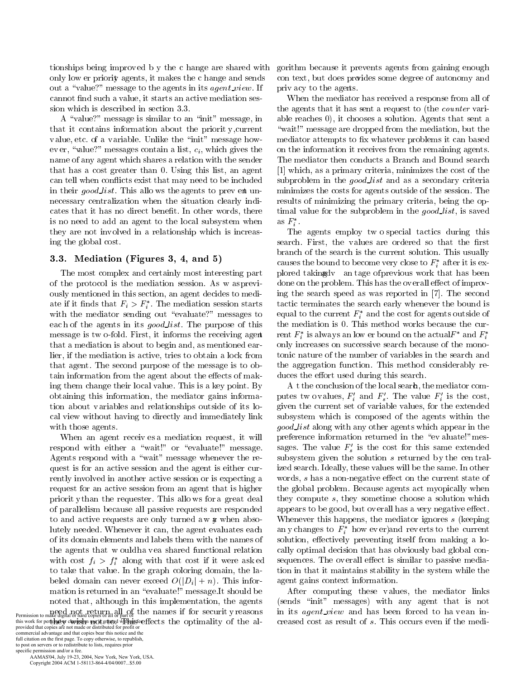tionships being improved b y the c hange are shared with only low er priority agents, it makes the c hange and sends out a "value?" message to the agents in its *agent\_view*. If cannot find such a value, it starts an active mediation session which is described in section 3.3.

A "value?" message is similar to an "init" message, in that it contains information about the priority, current value, etc. of a variable. Unlike the "init" message however, "value?" messages contain a list,  $c_i$ , which gives the name of any agent which shares a relation with the sender that has a cost greater than 0. Using this list, an agent can tell when conflicts exist that may need to be included in their good list. This allows the agents to prev ent unnecessary centralization when the situation clearly indicates that it has no direct benefit. In other words, there is no need to add an agent to the local subsystem when they are not involved in a relationship which is increasing the global cost.

# 3.3. Mediation (Figures 3, 4, and 5)

The most complex and certainly most interesting part of the protocol is the mediation session. As was previously mentioned in this section, an agent decides to mediate if it finds that  $F_i > F_i^*$ . The mediation session starts with the mediator sending out "evaluate?" messages to each of the agents in its good list. The purpose of this message is two-fold. First, it informs the receiving agent that a mediation is about to begin and, as mentioned earlier, if the mediation is active, tries to obtain a lock from that agent. The second purpose of the message is to obtain information from the agent about the effects of making them change their local value. This is a key point. By obtaining this information, the mediator gains information about variables and relationships outside of its local view without having to directly and immediately link with those agents.

When an agent receives a mediation request, it will respond with either a "wait!" or "evaluate!" message. Agents respond with a "wait" message whenever the request is for an active session and the agent is either currently involved in another active session or is expecting a request for an active session from an agent that is higher priorit y than the requester. This allows for a great deal of parallelism because all passive requests are responded to and active requests are only turned aw **x** when absolutely needed. Whenever it can, the agent evaluates each of its domain elements and labels them with the names of the agents that would have a shared functional relation with cost  $f_i > f_i^*$  along with that cost if it were asked to take that value. In the graph coloring domain, the labeled domain can never exceed  $O(|D_i| + n)$ . This information is returned in an "evaluate!" message. It should be noted that, although in this implementation, the agents Permission to make digital or hard copies of all or part of the names if for security reasons this work for perturbator changes of the set of the set of the set of the set of the contract of the contract of the contract of the contract of the contract of the contract of the contract of the contract of the contract

commercial advantage and that copies bear this notice and the full citation on the first page. To copy otherwise, to republish, to post on servers or to redistribute to lists, requires prior specific permission and/or a fee.

AAMAS'04, July 19-23, 2004, New York, New York, USA. Copyright 2004 ACM 1-58113-864-4/04/0007...\$5.00

gorithm because it prevents agents from gaining enough con text, but does provides some degree of autonomy and privacy to the agents.

When the mediator has received a response from all of the agents that it has sent a request to (the *counter* variable reaches 0), it chooses a solution. Agents that sent a "wait!" message are dropped from the mediation, but the mediator attempts to fix whatever problems it can based on the information it receives from the remaining agents. The mediator then conducts a Branch and Bound search [1] which, as a primary criteria, minimizes the cost of the subproblem in the *good list* and as a secondary criteria minimizes the costs for agents outside of the session. The results of minimizing the primary criteria, being the optimal value for the subproblem in the good list, is saved as  $F_i^*$ .

The agents employ two special tactics during this search. First, the values are ordered so that the first branch of the search is the current solution. This usually causes the bound to become very close to  $F_i^*$  after it is explored takingdy an tage of previous work that has been done on the problem. This has the overall effect of improving the search speed as was reported in [7]. The second tactic terminates the search early whenever the bound is equal to the current  $F_i^*$  and the cost for agents outside of the mediation is 0. This method works because the current  $F_i^*$  is always an low er bound on the actual  $F_i^*$  and  $F_i^*$ only increases on successive search because of the monotonic nature of the number of variables in the search and the aggregation function. This method considerably reduces the effort used during this search.

A t the conclusion of the local search, the mediator computes two values,  $F_i'$  and  $F_s'$ . The value  $F_i'$  is the cost, given the current set of variable values, for the extended subsystem which is composed of the agents within the *good\_list* along with any other agents which appear in the preference information returned in the "evaluate!" messages. The value  $F'_s$  is the cost for this same extended subsystem given the solution  $s$  returned by the centralized search. Ideally, these values will be the same. In other words, s has a non-negative effect on the current state of the global problem. Because agents act myopically when they compute  $s$ , they sometime choose a solution which appears to be good, but overall has a very negative effect. Whenever this happens, the mediator ignores s (keeping any changes to  $F_i^*$  how every and reverts to the current solution, effectively preventing itself from making a locally optimal decision that has obviously bad global consequences. The overall effect is similar to passive mediation in that it maintains stability in the system while the agent gains context information.

After computing these values, the mediator links (sends "init" messages) with any agent that is not in its *agent\_view* and has been forced to havean increased cost as result of s. This occurs even if the medi-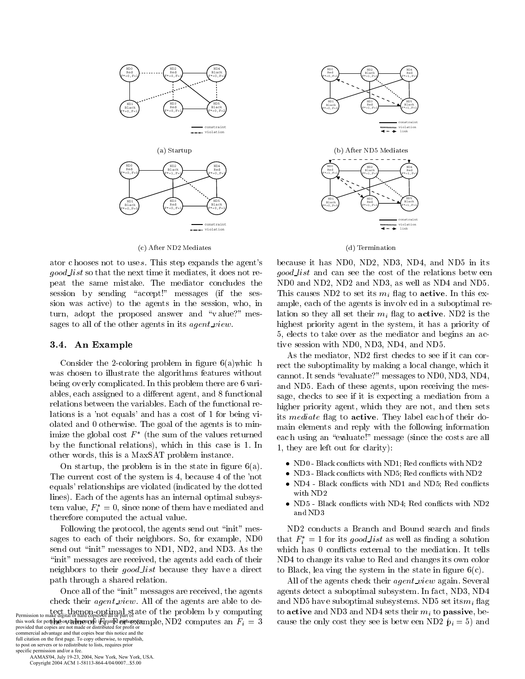

(c) After ND2 Mediates

ator c hooses not to uses. This step expands the agent's *good\_list* so that the next time it mediates, it does not repeat the same mistake. The mediator concludes the session by sending "accept!" messages (if the session was active) to the agents in the session, who, in turn, adopt the proposed answer and "value?" messages to all of the other agents in its *agent\_view*.

### 3.4. An Example

Consider the 2-coloring problem in figure  $6(a)$  which was chosen to illustrate the algorithms features without being overly complicated. In this problem there are 6 variables, each assigned to a different agent, and 8 functional relations between the variables. Each of the functional relations is a 'not equals' and has a cost of 1 for being violated and 0 otherwise. The goal of the agents is to minimize the global cost  $F^*$  (the sum of the values returned by the functional relations), which in this case is 1. In other words, this is a MaxSAT problem instance.

On startup, the problem is in the state in figure  $6(a)$ . The current cost of the system is 4, because 4 of the 'not equals' relationships are violated (indicated by the dotted lines). Each of the agents has an internal optimal subsystem value,  $F_i^* = 0$ , since none of them have mediated and therefore computed the actual value.

Following the protocol, the agents send out "init" messages to each of their neighbors. So, for example, ND0 send out "init" messages to ND1, ND2, and ND3. As the "init" messages are received, the agents add each of their neighbors to their *good list* because they have a direct path through a shared relation.

Once all of the "init" messages are received, the agents check their *agent\_view*. All of the agents are able to de-Permission to make digital or hard copies of all or part of the problem by computing this work for perting to make to perturb the part of part of the set of the set of the perturbation of the set of the set of the set of the set of the perturbation of the provided that copies are not made or distributed f commercial advantage and that copies bear this notice and the full citation on the first page. To copy otherwise, to republish, to post on servers or to redistribute to lists, requires prior

specific permission and/or a fee. AAMAS'04, July 19-23, 2004, New York, New York, USA. Copyright 2004 ACM 1-58113-864-4/04/0007...\$5.00





because it has ND0, ND2, ND3, ND4, and ND5 in its good\_list and can see the cost of the relations between ND0 and ND2, ND2 and ND3, as well as ND4 and ND5. This causes ND2 to set its  $m_i$  flag to **active**. In this example, each of the agents is involved in a suboptimal relation so they all set their  $m_i$  flag to **active**. ND2 is the highest priority agent in the system, it has a priority of 5, elects to take over as the mediator and begins an active session with ND0, ND3, ND4, and ND5.

As the mediator, ND2 first checks to see if it can correct the suboptimality by making a local change, which it cannot. It sends "evaluate?" messages to ND0, ND3, ND4, and ND5. Each of these agents, upon receiving the message, checks to see if it is expecting a mediation from a higher priority agent, which they are not, and then sets its *mediate* flag to **active**. They label each of their domain elements and reply with the following information each using an "evaluate!" message (since the costs are all 1, they are left out for clarity):

- ND0 Black conflicts with ND1; Red conflicts with ND2
- ND3 Black conflicts with ND5; Red conflicts with ND2
- ND4 Black conflicts with ND1 and ND5; Red conflicts with ND2
- ND5 Black conflicts with ND4; Red conflicts with ND2 and ND3

ND2 conducts a Branch and Bound search and finds that  $F_i^* = 1$  for its good list as well as finding a solution which has 0 conflicts external to the mediation. It tells ND4 to change its value to Red and changes its own color to Black, lea ving the system in the state in figure  $6(c)$ .

All of the agents check their *agent\_view* again. Several agents detect a suboptimal subsystem. In fact, ND3, ND4 and ND5 have suboptimal subsystems. ND5 set its  $m_i$  flag to active and ND3 and ND4 sets their  $m_i$  to passive, because the only cost they see is betw een ND2  $\hat{p}_i = 5$ ) and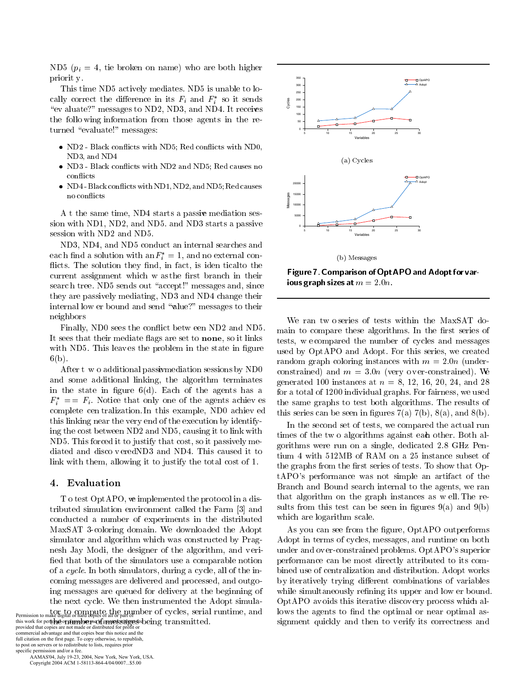ND5 ( $p_i = 4$ , tie broken on name) who are both higher priorit y.

This time ND5 actively mediates. ND5 is unable to locally correct the difference in its  $F_i$  and  $F_i^*$  so it sends "ev aluate?" messages to ND2, ND3, and ND4. It receives the following information from those agents in the returned "evaluate!" messages:

- ND2 Black conflicts with ND5; Red conflicts with ND0, ND3, and ND4
- ND3 Black conflicts with ND2 and ND5; Red causes no conflicts
- ND4-Black conflicts with ND1, ND2, and ND5; Red causes no conflicts

A t the same time, ND4 starts a passive mediation session with ND1, ND2, and ND5, and ND3 starts a passive session with ND2 and ND5.

ND3, ND4, and ND5 conduct an internal searches and each find a solution with  $\mathrm{an} F_i^* = 1$ , and no external conflicts. The solution they find, in fact, is iden tical to the current assignment which w as the first branch in their search tree. ND5 sends out "accept!" messages and, since they are passively mediating, ND3 and ND4 change their internal low er bound and send "alue?" messages to their neighbors

Finally, ND0 sees the conflict between ND2 and ND5. It sees that their mediate flags are set to none, so it links with ND5. This leaves the problem in the state in figure  $6(b)$ .

After t w o additional passive mediation sessions by ND0 and some additional linking, the algorithm terminates in the state in figure  $6(d)$ . Each of the agents has a  $F_i^* = F_i$ . Notice that only one of the agents achieves complete cen tralization. In this example, ND0 achieved this linking near the very end of the execution by identifying the cost between ND2 and ND5, causing it to link with ND5. This forced it to justify that cost, so it passively mediated and disco vered ND3 and ND4. This caused it to link with them, allowing it to justify the total cost of 1.

## 4. Evaluation

T o test OptAPO, we implemented the protocol in a distributed simulation environment called the Farm [3] and conducted a number of experiments in the distributed MaxSAT 3-coloring domain. We downloaded the Adopt simulator and algorithm which was constructed by Pragnesh Jay Modi, the designer of the algorithm, and verified that both of the simulators use a comparable notion of a cycle. In both simulators, during a cycle, all of the incoming messages are delivered and processed, and outgoing messages are queued for delivery at the beginning of the next cycle. We then instrumented the Adopt simula-Permission to make digital or hard espies of all or part of mumber of cycles, serial runtime, and

this work for perton to contain the open of an interval experience of the state of the provided that copies are not made or distributed for profit or commercial advantage and that copies bear this notice and the full citation on the first page. To copy otherwise, to republish, to post on servers or to redistribute to lists, requires prior specific permission and/or a fee.

AAMAS'04, July 19-23, 2004, New York, New York, USA. Copyright 2004 ACM 1-58113-864-4/04/0007...\$5.00



Figure 7. Comparison of OptAPO and Adopt for various graph sizes at  $m = 2.0n$ .

We ran two series of tests within the MaxSAT domain to compare these algorithms. In the first series of tests, we compared the number of cycles and messages used by OptAPO and Adopt. For this series, we created random graph coloring instances with  $m = 2.0n$  (underconstrained) and  $m = 3.0n$  (very over-constrained). We generated 100 instances at  $n = 8, 12, 16, 20, 24,$  and 28 for a total of 1200 individual graphs. For fairness, we used the same graphs to test both algorithms. The results of this series can be seen in figures  $7(a)$ ,  $7(b)$ ,  $8(a)$ , and  $8(b)$ .

In the second set of tests, we compared the actual run times of the two algorithms against each other. Both algorithms were run on a single, dedicated 2.8 GHz Pentium 4 with 512MB of RAM on a 25 instance subset of the graphs from the first series of tests. To show that OptAPO's performance was not simple an artifact of the Branch and Bound search internal to the agents, we ran that algorithm on the graph instances as well. The results from this test can be seen in figures  $9(a)$  and  $9(b)$ which are logarithm scale.

As you can see from the figure, OptAPO outperforms Adopt in terms of cycles, messages, and runtime on both under and over-constrained problems. OptAPO's superior performance can be most directly attributed to its combined use of centralization and distribution. Adopt works by iteratively trying different combinations of variables while simultaneously refining its upper and low er bound. OptAPO avoids this iterative discovery process which allows the agents to find the optimal or near optimal assignment quickly and then to verify its correctness and